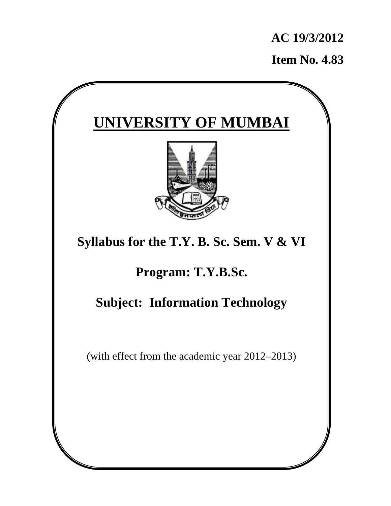**AC 19/3/2012** 

**Item No. 4.83**

# **UNIVERSITY OF MUMBAI Syllabus for the T.Y. B. Sc. Sem. V & VI Program: T.Y.B.Sc. Subject: Information Technology** (with effect from the academic year 2012–2013)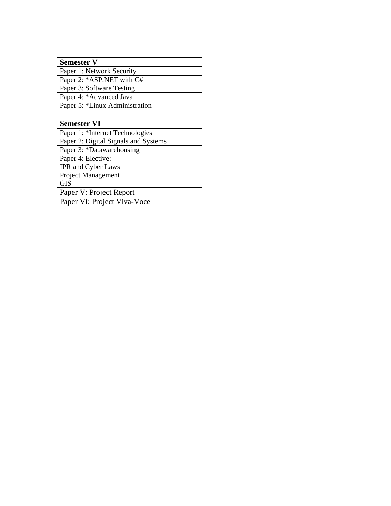## **Semester V**

Paper 1: Network Security

Paper 2: \*ASP.NET with C#

Paper 3: Software Testing

Paper 4: \*Advanced Java

Paper 5: \*Linux Administration

## **Semester VI**

Paper 1: \*Internet Technologies

Paper 2: Digital Signals and Systems

Paper 3: \*Datawarehousing

Paper 4: Elective:

IPR and Cyber Laws

Project Management

GIS

Paper V: Project Report

Paper VI: Project Viva-Voce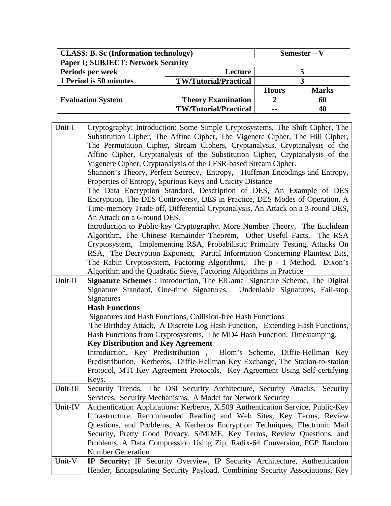| <b>CLASS: B. Sc (Information technology)</b> |                              | Semester – V |              |
|----------------------------------------------|------------------------------|--------------|--------------|
| <b>Paper I; SUBJECT: Network Security</b>    |                              |              |              |
| Periods per week                             | Lecture                      |              |              |
| 1 Period is 50 minutes                       | <b>TW/Tutorial/Practical</b> |              |              |
|                                              |                              | <b>Hours</b> | <b>Marks</b> |
| <b>Evaluation System</b>                     | <b>Theory Examination</b>    |              | 60           |
|                                              | <b>TW/Tutorial/Practical</b> | --           | 40           |

 $\mathbf{r}$ 

| Unit-I   | Cryptography: Introduction: Some Simple Cryptosystems, The Shift Cipher, The                                                                                |
|----------|-------------------------------------------------------------------------------------------------------------------------------------------------------------|
|          | Substitution Cipher, The Affine Cipher, The Vigenere Cipher, The Hill Cipher,                                                                               |
|          | The Permutation Cipher, Stream Ciphers, Cryptanalysis, Cryptanalysis of the                                                                                 |
|          | Affine Cipher, Cryptanalysis of the Substitution Cipher, Cryptanalysis of the                                                                               |
|          | Vigenere Cipher, Cryptanalysis of the LFSR-based Stream Cipher.                                                                                             |
|          | Shannon's Theory, Perfect Secrecy, Entropy, Huffman Encodings and Entropy,                                                                                  |
|          | Properties of Entropy, Spurious Keys and Unicity Distance                                                                                                   |
|          | The Data Encryption Standard, Description of DES, An Example of DES                                                                                         |
|          | Encryption, The DES Controversy, DES in Practice, DES Modes of Operation, A                                                                                 |
|          | Time-memory Trade-off, Differential Cryptanalysis, An Attack on a 3-round DES,                                                                              |
|          | An Attack on a 6-round DES.                                                                                                                                 |
|          | Introduction to Public-key Cryptography, More Number Theory, The Euclidean                                                                                  |
|          | Algorithm, The Chinese Remainder Theorem, Other Useful Facts, The RSA                                                                                       |
|          | Cryptosystem, Implementing RSA, Probabilistic Primality Testing, Attacks On                                                                                 |
|          | RSA, The Decryption Exponent, Partial Information Concerning Plaintext Bits,                                                                                |
|          | The Rabin Cryptosystem, Factoring Algorithms, The p - 1 Method, Dixon's                                                                                     |
|          | Algorithm and the Quadratic Sieve, Factoring Algorithms in Practice                                                                                         |
| Unit-II  | Signature Schemes : Introduction, The ElGamal Signature Scheme, The Digital                                                                                 |
|          | Signature Standard, One-time Signatures, Undeniable Signatures, Fail-stop                                                                                   |
|          | Signatures                                                                                                                                                  |
|          | <b>Hash Functions</b>                                                                                                                                       |
|          | Signatures and Hash Functions, Collision-free Hash Functions                                                                                                |
|          | The Birthday Attack, A Discrete Log Hash Function, Extending Hash Functions,                                                                                |
|          | Hash Functions from Cryptosystems, The MD4 Hash Function, Timestamping.                                                                                     |
|          | <b>Key Distribution and Key Agreement</b>                                                                                                                   |
|          | Introduction, Key Predistribution, Blom's Scheme, Diffie-Hellman Key                                                                                        |
|          | Predistribution, Kerberos, Diffie-Hellman Key Exchange, The Station-to-station                                                                              |
|          | Protocol, MTI Key Agreement Protocols, Key Agreement Using Self-certifying                                                                                  |
|          | Keys.                                                                                                                                                       |
| Unit-III | Security Trends, The OSI Security Architecture, Security Attacks, Security                                                                                  |
|          | Services, Security Mechanisms, A Model for Network Security                                                                                                 |
| Unit-IV  | Authentication Applications: Kerberos, X.509 Authentication Service, Public-Key                                                                             |
|          | Infrastructure, Recommended Reading and Web Sites, Key Terms, Review                                                                                        |
|          | Questions, and Problems, A Kerberos Encryption Techniques, Electronic Mail                                                                                  |
|          | Security, Pretty Good Privacy, S/MIME, Key Terms, Review Questions, and                                                                                     |
|          | Problems, A Data Compression Using Zip, Radix-64 Conversion, PGP Random                                                                                     |
|          | <b>Number Generation</b>                                                                                                                                    |
| Unit-V   | IP Security: IP Security Overview, IP Security Architecture, Authentication<br>Header, Encapsulating Security Payload, Combining Security Associations, Key |
|          |                                                                                                                                                             |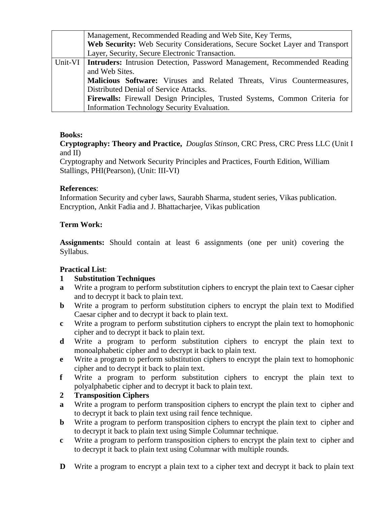|         | Management, Recommended Reading and Web Site, Key Terms,                           |
|---------|------------------------------------------------------------------------------------|
|         | Web Security: Web Security Considerations, Secure Socket Layer and Transport       |
|         | Layer, Security, Secure Electronic Transaction.                                    |
| Unit-VI | Intruders: Intrusion Detection, Password Management, Recommended Reading           |
|         | and Web Sites.                                                                     |
|         | Malicious Software: Viruses and Related Threats, Virus Countermeasures,            |
|         | Distributed Denial of Service Attacks.                                             |
|         | <b>Firewalls:</b> Firewall Design Principles, Trusted Systems, Common Criteria for |
|         | Information Technology Security Evaluation.                                        |

**Cryptography: Theory and Practice,** *Douglas Stinson,* CRC Press, CRC Press LLC (Unit I and II)

Cryptography and Network Security Principles and Practices, Fourth Edition, William Stallings, PHI(Pearson), (Unit: III-VI)

## **References**:

Information Security and cyber laws, Saurabh Sharma, student series, Vikas publication. Encryption, Ankit Fadia and J. Bhattacharjee, Vikas publication

# **Term Work:**

**Assignments:** Should contain at least 6 assignments (one per unit) covering the Syllabus.

# **Practical List**:

# **1 Substitution Techniques**

- **a** Write a program to perform substitution ciphers to encrypt the plain text to Caesar cipher and to decrypt it back to plain text.
- **b** Write a program to perform substitution ciphers to encrypt the plain text to Modified Caesar cipher and to decrypt it back to plain text.
- **c** Write a program to perform substitution ciphers to encrypt the plain text to homophonic cipher and to decrypt it back to plain text.
- **d** Write a program to perform substitution ciphers to encrypt the plain text to monoalphabetic cipher and to decrypt it back to plain text.
- **e** Write a program to perform substitution ciphers to encrypt the plain text to homophonic cipher and to decrypt it back to plain text.
- **f** Write a program to perform substitution ciphers to encrypt the plain text to polyalphabetic cipher and to decrypt it back to plain text.

# **2 Transposition Ciphers**

- **a** Write a program to perform transposition ciphers to encrypt the plain text to cipher and to decrypt it back to plain text using rail fence technique.
- **b** Write a program to perform transposition ciphers to encrypt the plain text to cipher and to decrypt it back to plain text using Simple Columnar technique.
- **c** Write a program to perform transposition ciphers to encrypt the plain text to cipher and to decrypt it back to plain text using Columnar with multiple rounds.
- **D** Write a program to encrypt a plain text to a cipher text and decrypt it back to plain text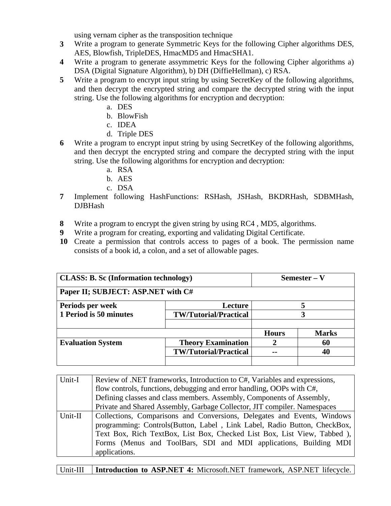using vernam cipher as the transposition technique

- **3** Write a program to generate Symmetric Keys for the following Cipher algorithms DES, AES, Blowfish, TripleDES, HmacMD5 and HmacSHA1.
- **4** Write a program to generate assymmetric Keys for the following Cipher algorithms a) DSA (Digital Signature Algorithm), b) DH (DiffieHellman), c) RSA.
- **5** Write a program to encrypt input string by using SecretKey of the following algorithms, and then decrypt the encrypted string and compare the decrypted string with the input string. Use the following algorithms for encryption and decryption:
	- a. DES
	- b. BlowFish
	- c. IDEA
	- d. Triple DES
- **6** Write a program to encrypt input string by using SecretKey of the following algorithms, and then decrypt the encrypted string and compare the decrypted string with the input string. Use the following algorithms for encryption and decryption:
	- a. RSA
	- b. AES
	- c. DSA
- **7** Implement following HashFunctions: RSHash, JSHash, BKDRHash, SDBMHash, DJBHash
- **8** Write a program to encrypt the given string by using RC4 , MD5, algorithms.
- **9** Write a program for creating, exporting and validating Digital Certificate.
- **10** Create a permission that controls access to pages of a book. The permission name consists of a book id, a colon, and a set of allowable pages.

| <b>CLASS: B. Sc (Information technology)</b> |                              | Semester – V |              |
|----------------------------------------------|------------------------------|--------------|--------------|
| Paper II; SUBJECT: ASP.NET with C#           |                              |              |              |
| Periods per week                             | <b>Lecture</b>               |              |              |
| 1 Period is 50 minutes                       | <b>TW/Tutorial/Practical</b> |              |              |
|                                              |                              |              |              |
|                                              |                              | <b>Hours</b> | <b>Marks</b> |
| <b>Evaluation System</b>                     | <b>Theory Examination</b>    |              | 60           |
|                                              | <b>TW/Tutorial/Practical</b> | --           | 40           |
|                                              |                              |              |              |

| Unit-I  | Review of .NET frameworks, Introduction to C#, Variables and expressions, |
|---------|---------------------------------------------------------------------------|
|         | flow controls, functions, debugging and error handling, OOPs with C#,     |
|         | Defining classes and class members. Assembly, Components of Assembly,     |
|         | Private and Shared Assembly, Garbage Collector, JIT compiler. Namespaces  |
| Unit-II | Collections, Comparisons and Conversions, Delegates and Events, Windows   |
|         | programming: Controls(Button, Label, Link Label, Radio Button, CheckBox,  |
|         | Text Box, Rich TextBox, List Box, Checked List Box, List View, Tabbed ),  |
|         | Forms (Menus and ToolBars, SDI and MDI applications, Building MDI         |
|         | applications.                                                             |

|  | Unit-III   Introduction to ASP.NET 4: Microsoft.NET framework, ASP.NET lifecycle. |  |  |  |
|--|-----------------------------------------------------------------------------------|--|--|--|
|--|-----------------------------------------------------------------------------------|--|--|--|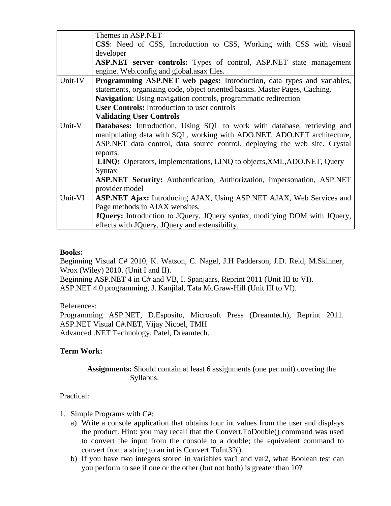|         | Themes in ASP.NET                                                               |
|---------|---------------------------------------------------------------------------------|
|         | CSS: Need of CSS, Introduction to CSS, Working with CSS with visual             |
|         | developer                                                                       |
|         | <b>ASP.NET</b> server controls: Types of control, ASP.NET state management      |
|         | engine. Web.config and global.asax files.                                       |
| Unit-IV | <b>Programming ASP.NET web pages:</b> Introduction, data types and variables,   |
|         | statements, organizing code, object oriented basics. Master Pages, Caching.     |
|         | Navigation: Using navigation controls, programmatic redirection                 |
|         | <b>User Controls:</b> Introduction to user controls                             |
|         | <b>Validating User Controls</b>                                                 |
| Unit-V  | <b>Databases:</b> Introduction, Using SQL to work with database, retrieving and |
|         | manipulating data with SQL, working with ADO.NET, ADO.NET architecture,         |
|         | ASP.NET data control, data source control, deploying the web site. Crystal      |
|         | reports.                                                                        |
|         | LINQ: Operators, implementations, LINQ to objects, XML, ADO.NET, Query          |
|         | Syntax                                                                          |
|         | <b>ASP.NET Security:</b> Authentication, Authorization, Impersonation, ASP.NET  |
|         | provider model                                                                  |
| Unit-VI | <b>ASP.NET Ajax:</b> Introducing AJAX, Using ASP.NET AJAX, Web Services and     |
|         | Page methods in AJAX websites,                                                  |
|         | JQuery: Introduction to JQuery, JQuery syntax, modifying DOM with JQuery,       |
|         | effects with JQuery, JQuery and extensibility,                                  |

Beginning Visual C# 2010, K. Watson, C. Nagel, J.H Padderson, J.D. Reid, M.Skinner, Wrox (Wiley) 2010. (Unit I and II).

Beginning ASP.NET 4 in C# and VB, I. Spanjaars, Reprint 2011 (Unit III to VI). ASP.NET 4.0 programming, J. Kanjilal, Tata McGraw-Hill (Unit III to VI).

## References:

Programming ASP.NET, D.Esposito, Microsoft Press (Dreamtech), Reprint 2011. ASP.NET Visual C#.NET, Vijay Nicoel, TMH Advanced .NET Technology, Patel, Dreamtech.

## **Term Work:**

 **Assignments:** Should contain at least 6 assignments (one per unit) covering the Syllabus.

## Practical:

- 1. Simple Programs with C#:
	- a) Write a console application that obtains four int values from the user and displays the product. Hint: you may recall that the Convert.ToDouble() command was used to convert the input from the console to a double; the equivalent command to convert from a string to an int is Convert.ToInt32().
	- b) If you have two integers stored in variables var1 and var2, what Boolean test can you perform to see if one or the other (but not both) is greater than 10?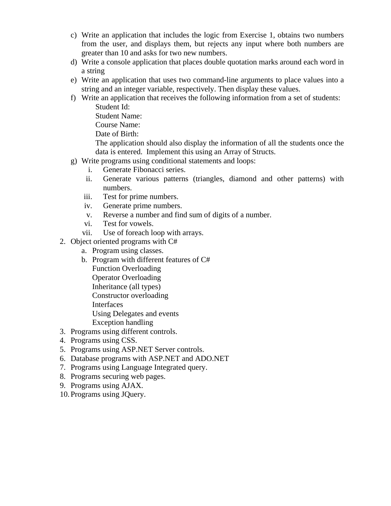- c) Write an application that includes the logic from Exercise 1, obtains two numbers from the user, and displays them, but rejects any input where both numbers are greater than 10 and asks for two new numbers.
- d) Write a console application that places double quotation marks around each word in a string
- e) Write an application that uses two command-line arguments to place values into a string and an integer variable, respectively. Then display these values.
- f) Write an application that receives the following information from a set of students: Student Id:
	- Student Name:
	- Course Name:
	- Date of Birth:

The application should also display the information of all the students once the data is entered. Implement this using an Array of Structs.

- g) Write programs using conditional statements and loops:
	- i. Generate Fibonacci series.
	- ii. Generate various patterns (triangles, diamond and other patterns) with numbers.
	- iii. Test for prime numbers.
	- iv. Generate prime numbers.
	- v. Reverse a number and find sum of digits of a number.
	- vi. Test for vowels.
	- vii. Use of foreach loop with arrays.
- 2. Object oriented programs with C#
	- a. Program using classes.
	- b. Program with different features of C# Function Overloading Operator Overloading Inheritance (all types) Constructor overloading Interfaces Using Delegates and events Exception handling
- 3. Programs using different controls.
- 4. Programs using CSS.
- 5. Programs using ASP.NET Server controls.
- 6. Database programs with ASP.NET and ADO.NET
- 7. Programs using Language Integrated query.
- 8. Programs securing web pages.
- 9. Programs using AJAX.
- 10.Programs using JQuery.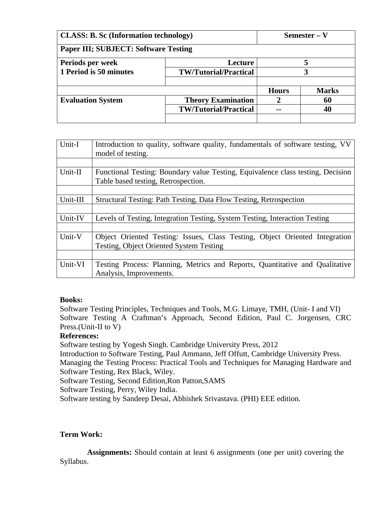| <b>CLASS: B. Sc (Information technology)</b> |                              | Semester – V |              |
|----------------------------------------------|------------------------------|--------------|--------------|
| <b>Paper III; SUBJECT: Software Testing</b>  |                              |              |              |
| Periods per week                             | Lecture                      |              |              |
| 1 Period is 50 minutes                       | <b>TW/Tutorial/Practical</b> |              | 3            |
|                                              |                              |              |              |
|                                              |                              | <b>Hours</b> | <b>Marks</b> |
| <b>Evaluation System</b>                     | <b>Theory Examination</b>    | 2            | 60           |
|                                              | <b>TW/Tutorial/Practical</b> | --           | 40           |
|                                              |                              |              |              |

| Unit-I   | Introduction to quality, software quality, fundamentals of software testing, VV<br>model of testing.                   |
|----------|------------------------------------------------------------------------------------------------------------------------|
|          |                                                                                                                        |
| Unit-II  | Functional Testing: Boundary value Testing, Equivalence class testing, Decision<br>Table based testing, Retrospection. |
|          |                                                                                                                        |
| Unit-III | Structural Testing: Path Testing, Data Flow Testing, Retrospection                                                     |
|          |                                                                                                                        |
| Unit-IV  | Levels of Testing, Integration Testing, System Testing, Interaction Testing                                            |
|          |                                                                                                                        |
| Unit-V   | Object Oriented Testing: Issues, Class Testing, Object Oriented Integration<br>Testing, Object Oriented System Testing |
|          |                                                                                                                        |
| Unit-VI  | Testing Process: Planning, Metrics and Reports, Quantitative and Qualitative<br>Analysis, Improvements.                |

Software Testing Principles, Techniques and Tools, M.G. Limaye, TMH, (Unit- I and VI) Software Testing A Craftman's Approach, Second Edition, Paul C. Jorgensen, CRC Press.(Unit-II to V)

## **References:**

Software testing by Yogesh Singh. Cambridge University Press, 2012

Introduction to Software Testing, Paul Ammann, Jeff Offutt, Cambridge University Press. Managing the Testing Process: Practical Tools and Techniques for Managing Hardware and Software Testing, Rex Black, Wiley.

Software Testing, Second Edition,Ron Patton,SAMS

Software Testing, Perry, Wiley India.

Software testing by Sandeep Desai, Abhishek Srivastava. (PHI) EEE edition.

# **Term Work:**

 **Assignments:** Should contain at least 6 assignments (one per unit) covering the Syllabus.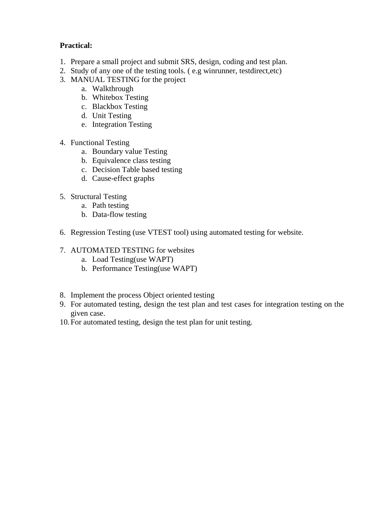## **Practical:**

- 1. Prepare a small project and submit SRS, design, coding and test plan.
- 2. Study of any one of the testing tools. ( e.g winrunner, testdirect,etc)
- 3. MANUAL TESTING for the project
	- a. Walkthrough
	- b. Whitebox Testing
	- c. Blackbox Testing
	- d. Unit Testing
	- e. Integration Testing
- 4. Functional Testing
	- a. Boundary value Testing
	- b. Equivalence class testing
	- c. Decision Table based testing
	- d. Cause-effect graphs
- 5. Structural Testing
	- a. Path testing
	- b. Data-flow testing
- 6. Regression Testing (use VTEST tool) using automated testing for website.
- 7. AUTOMATED TESTING for websites
	- a. Load Testing(use WAPT)
	- b. Performance Testing(use WAPT)
- 8. Implement the process Object oriented testing
- 9. For automated testing, design the test plan and test cases for integration testing on the given case.
- 10.For automated testing, design the test plan for unit testing.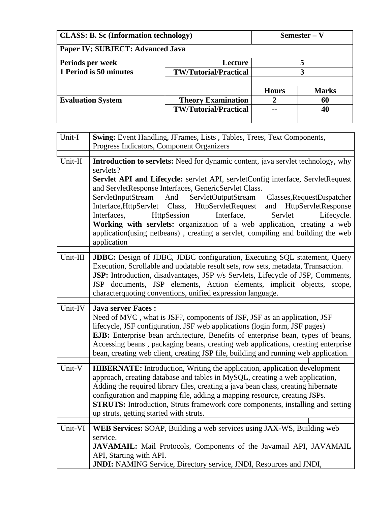| <b>CLASS: B. Sc (Information technology)</b> |                              | Semester – V |              |
|----------------------------------------------|------------------------------|--------------|--------------|
| Paper IV; SUBJECT: Advanced Java             |                              |              |              |
| Periods per week                             | Lecture                      |              | 5            |
| 1 Period is 50 minutes                       | <b>TW/Tutorial/Practical</b> |              | 3            |
|                                              |                              |              |              |
|                                              |                              | <b>Hours</b> | <b>Marks</b> |
| <b>Evaluation System</b>                     | <b>Theory Examination</b>    |              | 60           |
|                                              | <b>TW/Tutorial/Practical</b> |              | 40           |
|                                              |                              |              |              |

| Unit-I   | Swing: Event Handling, JFrames, Lists, Tables, Trees, Text Components,<br>Progress Indicators, Component Organizers                                                                                                                                                                                                                                                                                                                                                                                                                                                                                                                                        |
|----------|------------------------------------------------------------------------------------------------------------------------------------------------------------------------------------------------------------------------------------------------------------------------------------------------------------------------------------------------------------------------------------------------------------------------------------------------------------------------------------------------------------------------------------------------------------------------------------------------------------------------------------------------------------|
| Unit-II  | Introduction to servlets: Need for dynamic content, java servlet technology, why<br>servlets?<br>Servlet API and Lifecycle: servlet API, servletConfig interface, ServletRequest<br>and ServletResponse Interfaces, GenericServlet Class.<br>ServletInputStream And<br>ServletOutputStream<br>Classes, RequestDispatcher<br>Interface, HttpServlet Class, HttpServletRequest<br>and HttpServletResponse<br>HttpSession<br>Interface,<br>Servlet<br>Lifecycle.<br>Interfaces,<br>Working with servlets: organization of a web application, creating a web<br>application(using netbeans), creating a servlet, compiling and building the web<br>application |
| Unit-III | <b>JDBC:</b> Design of JDBC, JDBC configuration, Executing SQL statement, Query<br>Execution, Scrollable and updatable result sets, row sets, metadata, Transaction.<br>JSP: Introduction, disadvantages, JSP v/s Servlets, Lifecycle of JSP, Comments,<br>JSP documents, JSP elements, Action elements, implicit objects, scope,<br>characterquoting conventions, unified expression language.                                                                                                                                                                                                                                                            |
| Unit-IV  | <b>Java server Faces:</b><br>Need of MVC, what is JSF?, components of JSF, JSF as an application, JSF<br>lifecycle, JSF configuration, JSF web applications (login form, JSF pages)<br>EJB: Enterprise bean architecture, Benefits of enterprise bean, types of beans,<br>Accessing beans, packaging beans, creating web applications, creating enterprise<br>bean, creating web client, creating JSP file, building and running web application.                                                                                                                                                                                                          |
| Unit-V   | HIBERNATE: Introduction, Writing the application, application development<br>approach, creating database and tables in MySQL, creating a web application,<br>Adding the required library files, creating a java bean class, creating hibernate<br>configuration and mapping file, adding a mapping resource, creating JSPs.<br><b>STRUTS:</b> Introduction, Struts framework core components, installing and setting<br>up struts, getting started with struts.                                                                                                                                                                                            |
| Unit-VI  | WEB Services: SOAP, Building a web services using JAX-WS, Building web<br>service.<br>JAVAMAIL: Mail Protocols, Components of the Javamail API, JAVAMAIL<br>API, Starting with API.<br>JNDI: NAMING Service, Directory service, JNDI, Resources and JNDI,                                                                                                                                                                                                                                                                                                                                                                                                  |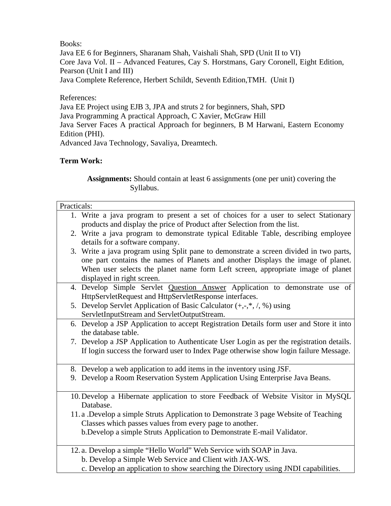Java EE 6 for Beginners, Sharanam Shah, Vaishali Shah, SPD (Unit II to VI) Core Java Vol. II – Advanced Features, Cay S. Horstmans, Gary Coronell, Eight Edition, Pearson (Unit I and III) Java Complete Reference, Herbert Schildt, Seventh Edition,TMH. (Unit I)

References:

Java EE Project using EJB 3, JPA and struts 2 for beginners, Shah, SPD Java Programming A practical Approach, C Xavier, McGraw Hill Java Server Faces A practical Approach for beginners, B M Harwani, Eastern Economy Edition (PHI). Advanced Java Technology, Savaliya, Dreamtech.

## **Term Work:**

 **Assignments:** Should contain at least 6 assignments (one per unit) covering the Syllabus.

| Practicals: |                                                                                          |
|-------------|------------------------------------------------------------------------------------------|
|             | 1. Write a java program to present a set of choices for a user to select Stationary      |
|             | products and display the price of Product after Selection from the list.                 |
|             | 2. Write a java program to demonstrate typical Editable Table, describing employee       |
|             | details for a software company.                                                          |
|             | 3. Write a java program using Split pane to demonstrate a screen divided in two parts,   |
|             | one part contains the names of Planets and another Displays the image of planet.         |
|             | When user selects the planet name form Left screen, appropriate image of planet          |
|             | displayed in right screen.                                                               |
|             | 4. Develop Simple Servlet Question Answer Application to demonstrate use of              |
|             | HttpServletRequest and HttpServletResponse interfaces.                                   |
|             | 5. Develop Servlet Application of Basic Calculator $(+,-,*,/, \%)$ using                 |
|             | ServletInputStream and ServletOutputStream.                                              |
|             | 6. Develop a JSP Application to accept Registration Details form user and Store it into  |
|             | the database table.                                                                      |
|             | 7. Develop a JSP Application to Authenticate User Login as per the registration details. |
|             | If login success the forward user to Index Page otherwise show login failure Message.    |
|             |                                                                                          |
|             | 8. Develop a web application to add items in the inventory using JSF.                    |
|             | 9. Develop a Room Reservation System Application Using Enterprise Java Beans.            |
|             |                                                                                          |
|             | 10. Develop a Hibernate application to store Feedback of Website Visitor in MySQL        |
|             | Database.                                                                                |
|             | 11. a .Develop a simple Struts Application to Demonstrate 3 page Website of Teaching     |
|             | Classes which passes values from every page to another.                                  |
|             | b.Develop a simple Struts Application to Demonstrate E-mail Validator.                   |
|             |                                                                                          |
|             | 12. a. Develop a simple "Hello World" Web Service with SOAP in Java.                     |
|             | b. Develop a Simple Web Service and Client with JAX-WS.                                  |

c. Develop an application to show searching the Directory using JNDI capabilities.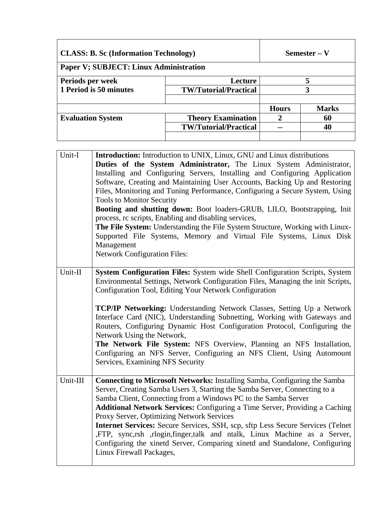| <b>CLASS: B. Sc (Information Technology)</b> |                              | Semester – V |              |
|----------------------------------------------|------------------------------|--------------|--------------|
| Paper V; SUBJECT: Linux Administration       |                              |              |              |
| Periods per week                             | Lecture                      |              |              |
| 1 Period is 50 minutes                       | <b>TW/Tutorial/Practical</b> |              | 3            |
|                                              |                              |              |              |
|                                              |                              | <b>Hours</b> | <b>Marks</b> |
| <b>Evaluation System</b>                     | <b>Theory Examination</b>    |              | 60           |
|                                              | <b>TW/Tutorial/Practical</b> |              | 40           |
|                                              |                              |              |              |

| Unit-I   | Introduction: Introduction to UNIX, Linux, GNU and Linux distributions          |
|----------|---------------------------------------------------------------------------------|
|          | Duties of the System Administrator, The Linux System Administrator,             |
|          | Installing and Configuring Servers, Installing and Configuring Application      |
|          | Software, Creating and Maintaining User Accounts, Backing Up and Restoring      |
|          | Files, Monitoring and Tuning Performance, Configuring a Secure System, Using    |
|          | <b>Tools to Monitor Security</b>                                                |
|          | Booting and shutting down: Boot loaders-GRUB, LILO, Bootstrapping, Init         |
|          | process, rc scripts, Enabling and disabling services,                           |
|          | The File System: Understanding the File System Structure, Working with Linux-   |
|          | Supported File Systems, Memory and Virtual File Systems, Linux Disk             |
|          | Management                                                                      |
|          | <b>Network Configuration Files:</b>                                             |
|          |                                                                                 |
| Unit-II  | System Configuration Files: System wide Shell Configuration Scripts, System     |
|          | Environmental Settings, Network Configuration Files, Managing the init Scripts, |
|          | Configuration Tool, Editing Your Network Configuration                          |
|          |                                                                                 |
|          | <b>TCP/IP Networking:</b> Understanding Network Classes, Setting Up a Network   |
|          | Interface Card (NIC), Understanding Subnetting, Working with Gateways and       |
|          | Routers, Configuring Dynamic Host Configuration Protocol, Configuring the       |
|          | Network Using the Network,                                                      |
|          | The Network File System: NFS Overview, Planning an NFS Installation,            |
|          | Configuring an NFS Server, Configuring an NFS Client, Using Automount           |
|          | Services, Examining NFS Security                                                |
|          |                                                                                 |
| Unit-III | Connecting to Microsoft Networks: Installing Samba, Configuring the Samba       |
|          | Server, Creating Samba Users 3, Starting the Samba Server, Connecting to a      |
|          | Samba Client, Connecting from a Windows PC to the Samba Server                  |
|          | Additional Network Services: Configuring a Time Server, Providing a Caching     |
|          | Proxy Server, Optimizing Network Services                                       |
|          | Internet Services: Secure Services, SSH, scp, sftp Less Secure Services (Telnet |
|          | ,FTP, sync,rsh ,rlogin,finger,talk and ntalk, Linux Machine as a Server,        |
|          | Configuring the xinetd Server, Comparing xinetd and Standalone, Configuring     |
|          | Linux Firewall Packages,                                                        |
|          |                                                                                 |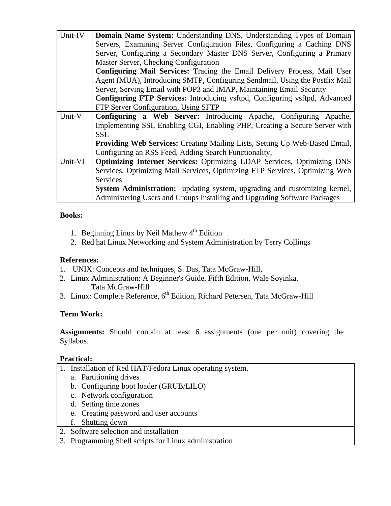| Unit-IV | Domain Name System: Understanding DNS, Understanding Types of Domain               |
|---------|------------------------------------------------------------------------------------|
|         | Servers, Examining Server Configuration Files, Configuring a Caching DNS           |
|         | Server, Configuring a Secondary Master DNS Server, Configuring a Primary           |
|         | Master Server, Checking Configuration                                              |
|         | Configuring Mail Services: Tracing the Email Delivery Process, Mail User           |
|         | Agent (MUA), Introducing SMTP, Configuring Sendmail, Using the Postfix Mail        |
|         | Server, Serving Email with POP3 and IMAP, Maintaining Email Security               |
|         | Configuring FTP Services: Introducing vsftpd, Configuring vsftpd, Advanced         |
|         | FTP Server Configuration, Using SFTP                                               |
| Unit-V  | Configuring a Web Server: Introducing Apache, Configuring Apache,                  |
|         | Implementing SSI, Enabling CGI, Enabling PHP, Creating a Secure Server with        |
|         | <b>SSL</b>                                                                         |
|         | <b>Providing Web Services:</b> Creating Mailing Lists, Setting Up Web-Based Email, |
|         | Configuring an RSS Feed, Adding Search Functionality,                              |
| Unit-VI | <b>Optimizing Internet Services:</b> Optimizing LDAP Services, Optimizing DNS      |
|         | Services, Optimizing Mail Services, Optimizing FTP Services, Optimizing Web        |
|         | <b>Services</b>                                                                    |
|         | System Administration: updating system, upgrading and customizing kernel,          |
|         | Administering Users and Groups Installing and Upgrading Software Packages          |

- 1. Beginning Linux by Neil Mathew  $4<sup>th</sup>$  Edition
- 2. Red hat Linux Networking and System Administration by Terry Collings

## **References:**

- 1. UNIX: Concepts and techniques, S. Das, Tata McGraw-Hill,
- 2. Linux Administration: A Beginner's Guide, Fifth Edition, Wale Soyinka, Tata McGraw-Hill
- 3. Linux: Complete Reference,  $6<sup>th</sup>$  Edition, Richard Petersen, Tata McGraw-Hill

## **Term Work:**

**Assignments:** Should contain at least 6 assignments (one per unit) covering the Syllabus.

## **Practical:**

- 1. Installation of Red HAT/Fedora Linux operating system.
	- a. Partitioning drives
	- b. Configuring boot loader (GRUB/LILO)
	- c. Network configuration
	- d. Setting time zones
	- e. Creating password and user accounts
	- f. Shutting down
- 2. Software selection and installation
- 3. Programming Shell scripts for Linux administration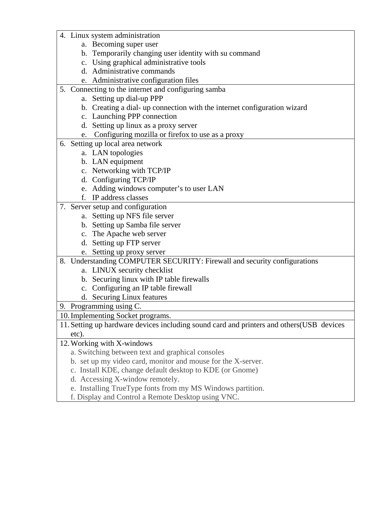- 4. Linux system administration
	- a. Becoming super user
	- b. Temporarily changing user identity with su command
	- c. Using graphical administrative tools
	- d. Administrative commands
	- e. Administrative configuration files
- 5. Connecting to the internet and configuring samba
	- a. Setting up dial-up PPP
	- b. Creating a dial- up connection with the internet configuration wizard
	- c. Launching PPP connection
	- d. Setting up linux as a proxy server
	- e. Configuring mozilla or firefox to use as a proxy
- 6. Setting up local area network
	- a. LAN topologies
	- b. LAN equipment
	- c. Networking with TCP/IP
	- d. Configuring TCP/IP
	- e. Adding windows computer's to user LAN
	- f. IP address classes
- 7. Server setup and configuration
	- a. Setting up NFS file server
	- b. Setting up Samba file server
	- c. The Apache web server
	- d. Setting up FTP server
	- e. Setting up proxy server

8. Understanding COMPUTER SECURITY: Firewall and security configurations

- a. LINUX security checklist
- b. Securing linux with IP table firewalls
- c. Configuring an IP table firewall
- d. Securing Linux features

9. Programming using C.

10.Implementing Socket programs.

11. Setting up hardware devices including sound card and printers and others(USB devices etc).

12.Working with X-windows

- a. Switching between text and graphical consoles
- b. set up my video card, monitor and mouse for the X-server.
- c. Install KDE, change default desktop to KDE (or Gnome)
- d. Accessing X-window remotely.
- e. Installing TrueType fonts from my MS Windows partition.
- f. Display and Control a Remote Desktop using VNC.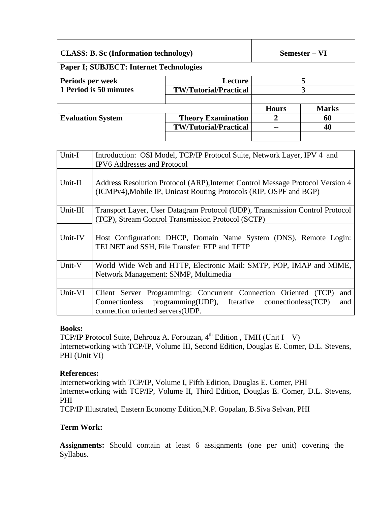| <b>CLASS: B. Sc (Information technology)</b> |                                                | <b>Semester – VI</b> |  |
|----------------------------------------------|------------------------------------------------|----------------------|--|
|                                              |                                                |                      |  |
| Lecture                                      |                                                |                      |  |
| <b>TW/Tutorial/Practical</b>                 | 3                                              |                      |  |
|                                              | <b>Hours</b>                                   | <b>Marks</b>         |  |
| <b>Theory Examination</b>                    |                                                | 60                   |  |
| <b>TW/Tutorial/Practical</b>                 |                                                | 40                   |  |
|                                              | <b>Paper I; SUBJECT: Internet Technologies</b> |                      |  |

| Unit-I   | Introduction: OSI Model, TCP/IP Protocol Suite, Network Layer, IPV 4 and       |
|----------|--------------------------------------------------------------------------------|
|          | <b>IPV6</b> Addresses and Protocol                                             |
|          |                                                                                |
| Unit-II  | Address Resolution Protocol (ARP), Internet Control Message Protocol Version 4 |
|          | (ICMPv4), Mobile IP, Unicast Routing Protocols (RIP, OSPF and BGP)             |
|          |                                                                                |
| Unit-III | Transport Layer, User Datagram Protocol (UDP), Transmission Control Protocol   |
|          | (TCP), Stream Control Transmission Protocol (SCTP)                             |
|          |                                                                                |
| Unit-IV  | Host Configuration: DHCP, Domain Name System (DNS), Remote Login:              |
|          | TELNET and SSH, File Transfer: FTP and TFTP                                    |
|          |                                                                                |
| Unit-V   | World Wide Web and HTTP, Electronic Mail: SMTP, POP, IMAP and MIME,            |
|          | Network Management: SNMP, Multimedia                                           |
|          |                                                                                |
| Unit-VI  | Client Server Programming: Concurrent Connection Oriented (TCP)<br>and         |
|          | programming(UDP), Iterative connectionless(TCP)<br>Connectionless<br>and       |
|          | connection oriented servers (UDP.                                              |

TCP/IP Protocol Suite, Behrouz A. Forouzan,  $4<sup>th</sup>$  Edition, TMH (Unit I – V) Internetworking with TCP/IP, Volume III, Second Edition, Douglas E. Comer, D.L. Stevens, PHI (Unit VI)

#### **References:**

Internetworking with TCP/IP, Volume I, Fifth Edition, Douglas E. Comer, PHI Internetworking with TCP/IP, Volume II, Third Edition, Douglas E. Comer, D.L. Stevens, PHI

TCP/IP Illustrated, Eastern Economy Edition,N.P. Gopalan, B.Siva Selvan, PHI

## **Term Work:**

**Assignments:** Should contain at least 6 assignments (one per unit) covering the Syllabus.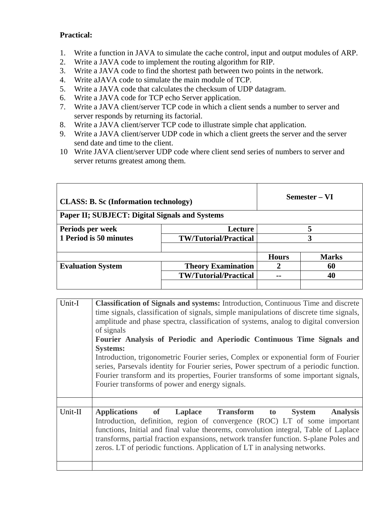## **Practical:**

- 1. Write a function in JAVA to simulate the cache control, input and output modules of ARP.
- 2. Write a JAVA code to implement the routing algorithm for RIP.
- 3. Write a JAVA code to find the shortest path between two points in the network.
- 4. Write aJAVA code to simulate the main module of TCP.
- 5. Write a JAVA code that calculates the checksum of UDP datagram.
- 6. Write a JAVA code for TCP echo Server application.
- 7. Write a JAVA client/server TCP code in which a client sends a number to server and server responds by returning its factorial.
- 8. Write a JAVA client/server TCP code to illustrate simple chat application.
- 9. Write a JAVA client/server UDP code in which a client greets the server and the server send date and time to the client.
- 10 Write JAVA client/server UDP code where client send series of numbers to server and server returns greatest among them.

| <b>CLASS: B. Sc (Information technology)</b> |                                                                                                                                                                                   | Semester – VI                                  |              |              |
|----------------------------------------------|-----------------------------------------------------------------------------------------------------------------------------------------------------------------------------------|------------------------------------------------|--------------|--------------|
|                                              |                                                                                                                                                                                   | Paper II; SUBJECT: Digital Signals and Systems |              |              |
|                                              | Periods per week                                                                                                                                                                  | Lecture                                        | 5            |              |
| 1 Period is 50 minutes                       |                                                                                                                                                                                   | <b>TW/Tutorial/Practical</b>                   | 3            |              |
|                                              |                                                                                                                                                                                   |                                                |              |              |
|                                              |                                                                                                                                                                                   |                                                | <b>Hours</b> | <b>Marks</b> |
| <b>Evaluation System</b>                     |                                                                                                                                                                                   | <b>Theory Examination</b>                      | 2            | 60           |
|                                              |                                                                                                                                                                                   | <b>TW/Tutorial/Practical</b>                   | --           | 40           |
|                                              |                                                                                                                                                                                   |                                                |              |              |
|                                              |                                                                                                                                                                                   |                                                |              |              |
| Unit-I                                       | <b>Classification of Signals and systems:</b> Introduction, Continuous Time and discrete<br>time signals, eleccification of signals, simple menipulations of disente time signals |                                                |              |              |

| Introduction, trigonometric Fourier series, Complex or exponential form of Fourier<br>series, Parsevals identity for Fourier series, Power spectrum of a periodic function.<br>Fourier transform and its properties, Fourier transforms of some important signals,            |
|-------------------------------------------------------------------------------------------------------------------------------------------------------------------------------------------------------------------------------------------------------------------------------|
|                                                                                                                                                                                                                                                                               |
| <b>Analysis</b><br>Introduction, definition, region of convergence (ROC) LT of some important<br>functions, Initial and final value theorems, convolution integral, Table of Laplace<br>transforms, partial fraction expansions, network transfer function. S-plane Poles and |
|                                                                                                                                                                                                                                                                               |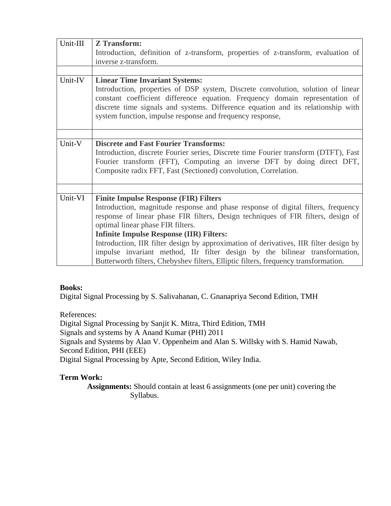| Unit-III | <b>Z</b> Transform:                                                                                                                                                                                                                                                                                               |
|----------|-------------------------------------------------------------------------------------------------------------------------------------------------------------------------------------------------------------------------------------------------------------------------------------------------------------------|
|          | Introduction, definition of z-transform, properties of z-transform, evaluation of                                                                                                                                                                                                                                 |
|          | inverse z-transform.                                                                                                                                                                                                                                                                                              |
|          |                                                                                                                                                                                                                                                                                                                   |
| Unit-IV  | <b>Linear Time Invariant Systems:</b>                                                                                                                                                                                                                                                                             |
|          | Introduction, properties of DSP system, Discrete convolution, solution of linear<br>constant coefficient difference equation. Frequency domain representation of<br>discrete time signals and systems. Difference equation and its relationship with<br>system function, impulse response and frequency response, |
|          |                                                                                                                                                                                                                                                                                                                   |
| Unit-V   | <b>Discrete and Fast Fourier Transforms:</b><br>Introduction, discrete Fourier series, Discrete time Fourier transform (DTFT), Fast<br>Fourier transform (FFT), Computing an inverse DFT by doing direct DFT,<br>Composite radix FFT, Fast (Sectioned) convolution, Correlation.                                  |
|          |                                                                                                                                                                                                                                                                                                                   |
| Unit-VI  | <b>Finite Impulse Response (FIR) Filters</b>                                                                                                                                                                                                                                                                      |
|          | Introduction, magnitude response and phase response of digital filters, frequency                                                                                                                                                                                                                                 |
|          | response of linear phase FIR filters, Design techniques of FIR filters, design of                                                                                                                                                                                                                                 |
|          | optimal linear phase FIR filters.                                                                                                                                                                                                                                                                                 |
|          | <b>Infinite Impulse Response (IIR) Filters:</b>                                                                                                                                                                                                                                                                   |
|          | Introduction, IIR filter design by approximation of derivatives, IIR filter design by                                                                                                                                                                                                                             |
|          | impulse invariant method, IIr filter design by the bilinear transformation,<br>Butterworth filters, Chebyshev filters, Elliptic filters, frequency transformation.                                                                                                                                                |

Digital Signal Processing by S. Salivahanan, C. Gnanapriya Second Edition, TMH

References:

Digital Signal Processing by Sanjit K. Mitra, Third Edition, TMH Signals and systems by A Anand Kumar (PHI) 2011 Signals and Systems by Alan V. Oppenheim and Alan S. Willsky with S. Hamid Nawab, Second Edition, PHI (EEE) Digital Signal Processing by Apte, Second Edition, Wiley India.

# **Term Work:**

 **Assignments:** Should contain at least 6 assignments (one per unit) covering the Syllabus.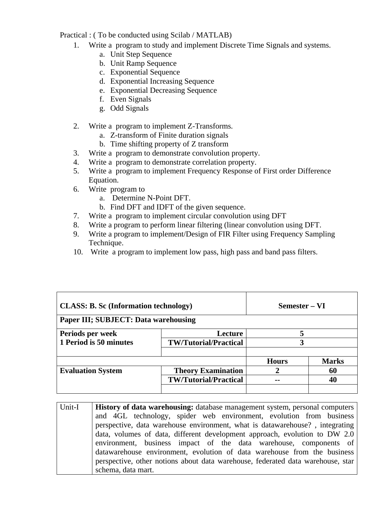Practical : ( To be conducted using Scilab / MATLAB)

- 1. Write a program to study and implement Discrete Time Signals and systems.
	- a. Unit Step Sequence
	- b. Unit Ramp Sequence
	- c. Exponential Sequence
	- d. Exponential Increasing Sequence
	- e. Exponential Decreasing Sequence
	- f. Even Signals
	- g. Odd Signals
- 2. Write a program to implement Z-Transforms.
	- a. Z-transform of Finite duration signals
	- b. Time shifting property of Z transform
- 3. Write a program to demonstrate convolution property.
- 4. Write a program to demonstrate correlation property.
- 5. Write a program to implement Frequency Response of First order Difference Equation.
- 6. Write program to
	- a. Determine N-Point DFT.
	- b. Find DFT and IDFT of the given sequence.
- 7. Write a program to implement circular convolution using DFT
- 8. Write a program to perform linear filtering (linear convolution using DFT.
- 9. Write a program to implement/Design of FIR Filter using Frequency Sampling Technique.
- 10. Write a program to implement low pass, high pass and band pass filters.

| <b>CLASS: B. Sc (Information technology)</b> |                              | Semester – VI |              |
|----------------------------------------------|------------------------------|---------------|--------------|
| Paper III; SUBJECT: Data warehousing         |                              |               |              |
| Periods per week                             | Lecture                      |               |              |
| 1 Period is 50 minutes                       | <b>TW/Tutorial/Practical</b> |               |              |
|                                              |                              | <b>Hours</b>  | <b>Marks</b> |
| <b>Evaluation System</b>                     | <b>Theory Examination</b>    |               | 60           |
|                                              | <b>TW/Tutorial/Practical</b> |               | 40           |
|                                              |                              |               |              |

Unit-I **History of data warehousing:** database management system, personal computers and 4GL technology, spider web environment, evolution from business perspective, data warehouse environment, what is datawarehouse? , integrating data, volumes of data, different development approach, evolution to DW 2.0 environment, business impact of the data warehouse, components of datawarehouse environment, evolution of data warehouse from the business perspective, other notions about data warehouse, federated data warehouse, star schema, data mart.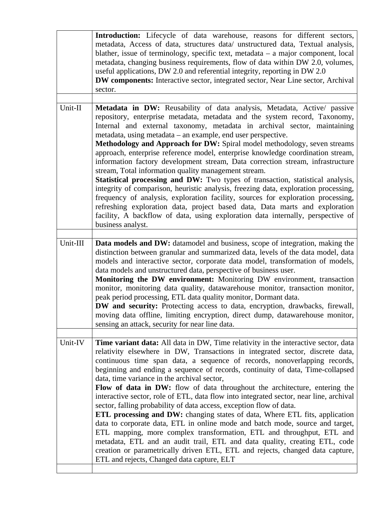|          | Introduction: Lifecycle of data warehouse, reasons for different sectors,<br>metadata, Access of data, structures data/ unstructured data, Textual analysis,<br>blather, issue of terminology, specific text, metadata – a major component, local<br>metadata, changing business requirements, flow of data within DW 2.0, volumes,<br>useful applications, DW 2.0 and referential integrity, reporting in DW 2.0<br><b>DW components:</b> Interactive sector, integrated sector, Near Line sector, Archival<br>sector.                                                                                                                                                                                                                                                                                                                                                                                                                                                                                                                                                                |
|----------|----------------------------------------------------------------------------------------------------------------------------------------------------------------------------------------------------------------------------------------------------------------------------------------------------------------------------------------------------------------------------------------------------------------------------------------------------------------------------------------------------------------------------------------------------------------------------------------------------------------------------------------------------------------------------------------------------------------------------------------------------------------------------------------------------------------------------------------------------------------------------------------------------------------------------------------------------------------------------------------------------------------------------------------------------------------------------------------|
| Unit-II  | Metadata in DW: Reusability of data analysis, Metadata, Active/ passive<br>repository, enterprise metadata, metadata and the system record, Taxonomy,<br>Internal and external taxonomy, metadata in archival sector, maintaining<br>metadata, using metadata – an example, end user perspective.<br>Methodology and Approach for DW: Spiral model methodology, seven streams<br>approach, enterprise reference model, enterprise knowledge coordination stream,<br>information factory development stream, Data correction stream, infrastructure<br>stream, Total information quality management stream.<br><b>Statistical processing and DW:</b> Two types of transaction, statistical analysis,<br>integrity of comparison, heuristic analysis, freezing data, exploration processing,<br>frequency of analysis, exploration facility, sources for exploration processing,<br>refreshing exploration data, project based data, Data marts and exploration<br>facility, A backflow of data, using exploration data internally, perspective of<br>business analyst.                  |
| Unit-III | <b>Data models and DW:</b> datamodel and business, scope of integration, making the<br>distinction between granular and summarized data, levels of the data model, data<br>models and interactive sector, corporate data model, transformation of models,<br>data models and unstructured data, perspective of business user.<br>Monitoring the DW environment: Monitoring DW environment, transaction<br>monitor, monitoring data quality, datawarehouse monitor, transaction monitor,<br>peak period processing, ETL data quality monitor, Dormant data.<br>DW and security: Protecting access to data, encryption, drawbacks, firewall,<br>moving data offline, limiting encryption, direct dump, datawarehouse monitor,<br>sensing an attack, security for near line data.                                                                                                                                                                                                                                                                                                         |
| Unit-IV  | Time variant data: All data in DW, Time relativity in the interactive sector, data<br>relativity elsewhere in DW, Transactions in integrated sector, discrete data,<br>continuous time span data, a sequence of records, nonoverlapping records,<br>beginning and ending a sequence of records, continuity of data, Time-collapsed<br>data, time variance in the archival sector.<br>Flow of data in DW: flow of data throughout the architecture, entering the<br>interactive sector, role of ETL, data flow into integrated sector, near line, archival<br>sector, falling probability of data access, exception flow of data.<br>ETL processing and DW: changing states of data, Where ETL fits, application<br>data to corporate data, ETL in online mode and batch mode, source and target,<br>ETL mapping, more complex transformation, ETL and throughput, ETL and<br>metadata, ETL and an audit trail, ETL and data quality, creating ETL, code<br>creation or parametrically driven ETL, ETL and rejects, changed data capture,<br>ETL and rejects, Changed data capture, ELT |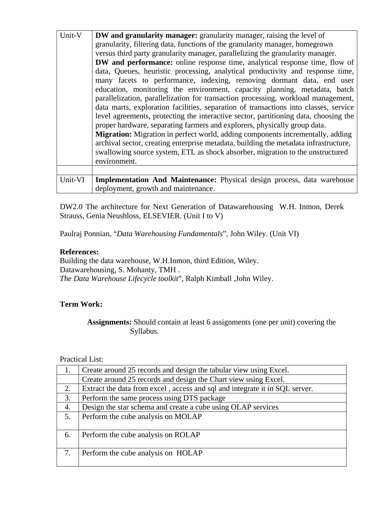| Unit-V  | <b>DW</b> and granularity manager: granularity manager, raising the level of          |
|---------|---------------------------------------------------------------------------------------|
|         | granularity, filtering data, functions of the granularity manager, homegrown          |
|         | versus third party granularity manager, parallelizing the granularity manager.        |
|         | <b>DW</b> and performance: online response time, analytical response time, flow of    |
|         | data, Queues, heuristic processing, analytical productivity and response time,        |
|         | many facets to performance, indexing, removing dormant data, end user                 |
|         | education, monitoring the environment, capacity planning, metadata, batch             |
|         | parallelization, parallelization for transaction processing, workload management,     |
|         | data marts, exploration facilities, separation of transactions into classes, service  |
|         | level agreements, protecting the interactive sector, partitioning data, choosing the  |
|         | proper hardware, separating farmers and explorers, physically group data.             |
|         | <b>Migration:</b> Migration in perfect world, adding components incrementally, adding |
|         | archival sector, creating enterprise metadata, building the metadata infrastructure,  |
|         | swallowing source system, ETL as shock absorber, migration to the unstructured        |
|         | environment.                                                                          |
|         |                                                                                       |
| Unit-VI | Implementation And Maintenance: Physical design process, data warehouse               |
|         | deployment, growth and maintenance.                                                   |

DW2.0 The architecture for Next Generation of Datawarehousing W.H. Inmon, Derek Strauss, Genia Neushloss, ELSEVIER. (Unit I to V)

Paulraj Ponnian, "*Data Warehousing Fundamentals*", John Wiley. (Unit VI)

#### **References:**

Building the data warehouse, W.H.Inmon, third Edition, Wiley. Datawarehousing, S. Mohanty, TMH . *The Data Warehouse Lifecycle toolkit*", Ralph Kimball ,John Wiley.

#### **Term Work:**

 **Assignments:** Should contain at least 6 assignments (one per unit) covering the Syllabus.

## Practical List:

|    | Create around 25 records and design the tabular view using Excel.           |
|----|-----------------------------------------------------------------------------|
|    | Create around 25 records and design the Chart view using Excel.             |
| 2. | Extract the data from excel, access and sql and integrate it in SQL server. |
| 3. | Perform the same process using DTS package                                  |
| 4. | Design the star schema and create a cube using OLAP services                |
| 5. | Perform the cube analysis on MOLAP                                          |
| 6. | Perform the cube analysis on ROLAP                                          |
| 7. | Perform the cube analysis on HOLAP                                          |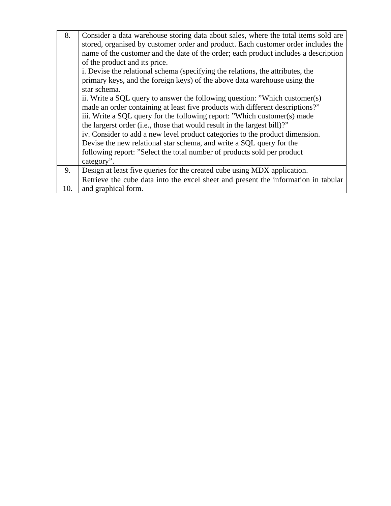| 8.  | Consider a data warehouse storing data about sales, where the total items sold are<br>stored, organised by customer order and product. Each customer order includes the |
|-----|-------------------------------------------------------------------------------------------------------------------------------------------------------------------------|
|     | name of the customer and the date of the order; each product includes a description                                                                                     |
|     | of the product and its price.                                                                                                                                           |
|     | i. Devise the relational schema (specifying the relations, the attributes, the                                                                                          |
|     | primary keys, and the foreign keys) of the above data warehouse using the                                                                                               |
|     | star schema.                                                                                                                                                            |
|     | ii. Write a SQL query to answer the following question: "Which customer(s)                                                                                              |
|     | made an order containing at least five products with different descriptions?"                                                                                           |
|     | iii. Write a SQL query for the following report: "Which customer(s) made                                                                                                |
|     | the largerst order (i.e., those that would result in the largest bill)?"                                                                                                |
|     | iv. Consider to add a new level product categories to the product dimension.                                                                                            |
|     | Devise the new relational star schema, and write a SQL query for the                                                                                                    |
|     | following report: "Select the total number of products sold per product                                                                                                 |
|     | category".                                                                                                                                                              |
| 9.  | Design at least five queries for the created cube using MDX application.                                                                                                |
|     | Retrieve the cube data into the excel sheet and present the information in tabular                                                                                      |
| 10. | and graphical form.                                                                                                                                                     |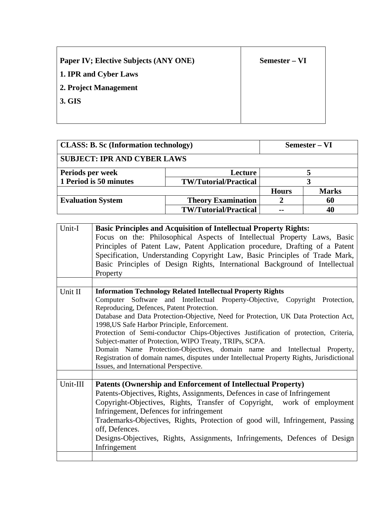| <b>Paper IV; Elective Subjects (ANY ONE)</b> | Semester – VI |
|----------------------------------------------|---------------|
| 1. IPR and Cyber Laws                        |               |
| 2. Project Management                        |               |
| 3. GIS                                       |               |
|                                              |               |

┱

 $\blacksquare$ 

| <b>CLASS: B. Sc (Information technology)</b> |                              | Semester – VI |              |
|----------------------------------------------|------------------------------|---------------|--------------|
| <b>SUBJECT: IPR AND CYBER LAWS</b>           |                              |               |              |
| Periods per week                             | Lecture                      |               |              |
| 1 Period is 50 minutes                       | <b>TW/Tutorial/Practical</b> |               |              |
|                                              |                              | <b>Hours</b>  | <b>Marks</b> |
| <b>Evaluation System</b>                     | <b>Theory Examination</b>    |               | 60           |
|                                              | <b>TW/Tutorial/Practical</b> | --            | 40           |

| <b>Basic Principles and Acquisition of Intellectual Property Rights:</b>                  |  |  |  |  |
|-------------------------------------------------------------------------------------------|--|--|--|--|
| Focus on the: Philosophical Aspects of Intellectual Property Laws, Basic                  |  |  |  |  |
| Principles of Patent Law, Patent Application procedure, Drafting of a Patent              |  |  |  |  |
| Specification, Understanding Copyright Law, Basic Principles of Trade Mark,               |  |  |  |  |
| Basic Principles of Design Rights, International Background of Intellectual               |  |  |  |  |
| Property                                                                                  |  |  |  |  |
|                                                                                           |  |  |  |  |
| <b>Information Technology Related Intellectual Property Rights</b>                        |  |  |  |  |
| Computer Software and Intellectual Property-Objective, Copyright Protection,              |  |  |  |  |
| Reproducing, Defences, Patent Protection.                                                 |  |  |  |  |
| Database and Data Protection-Objective, Need for Protection, UK Data Protection Act,      |  |  |  |  |
| 1998, US Safe Harbor Principle, Enforcement.                                              |  |  |  |  |
| Protection of Semi-conductor Chips-Objectives Justification of protection, Criteria,      |  |  |  |  |
| Subject-matter of Protection, WIPO Treaty, TRIPs, SCPA.                                   |  |  |  |  |
| Domain Name Protection-Objectives, domain name and Intellectual Property,                 |  |  |  |  |
| Registration of domain names, disputes under Intellectual Property Rights, Jurisdictional |  |  |  |  |
| Issues, and International Perspective.                                                    |  |  |  |  |
|                                                                                           |  |  |  |  |
| Patents (Ownership and Enforcement of Intellectual Property)                              |  |  |  |  |
| Patents-Objectives, Rights, Assignments, Defences in case of Infringement                 |  |  |  |  |
| Copyright-Objectives, Rights, Transfer of Copyright, work of employment                   |  |  |  |  |
| Infringement, Defences for infringement                                                   |  |  |  |  |
| Trademarks-Objectives, Rights, Protection of good will, Infringement, Passing             |  |  |  |  |
| off, Defences.                                                                            |  |  |  |  |
| Designs-Objectives, Rights, Assignments, Infringements, Defences of Design                |  |  |  |  |
| Infringement                                                                              |  |  |  |  |
|                                                                                           |  |  |  |  |
|                                                                                           |  |  |  |  |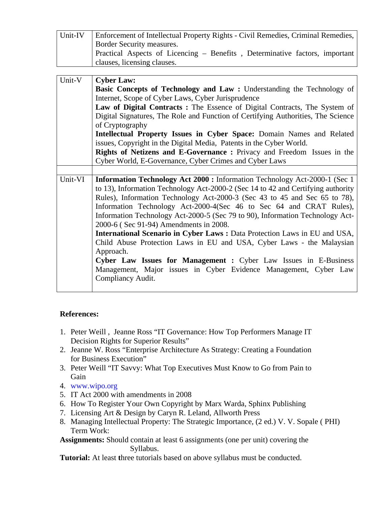| Unit-IV | Enforcement of Intellectual Property Rights - Civil Remedies, Criminal Remedies,<br>Border Security measures.<br>Practical Aspects of Licencing – Benefits, Determinative factors, important<br>clauses, licensing clauses.                                                                                                                                                                                                                                                                                                                                                                                                                                                                                                                                                            |
|---------|----------------------------------------------------------------------------------------------------------------------------------------------------------------------------------------------------------------------------------------------------------------------------------------------------------------------------------------------------------------------------------------------------------------------------------------------------------------------------------------------------------------------------------------------------------------------------------------------------------------------------------------------------------------------------------------------------------------------------------------------------------------------------------------|
| Unit-V  | <b>Cyber Law:</b><br>Basic Concepts of Technology and Law: Understanding the Technology of<br>Internet, Scope of Cyber Laws, Cyber Jurisprudence<br>Law of Digital Contracts: The Essence of Digital Contracts, The System of<br>Digital Signatures, The Role and Function of Certifying Authorities, The Science<br>of Cryptography<br>Intellectual Property Issues in Cyber Space: Domain Names and Related<br>issues, Copyright in the Digital Media, Patents in the Cyber World.<br>Rights of Netizens and E-Governance: Privacy and Freedom Issues in the<br>Cyber World, E-Governance, Cyber Crimes and Cyber Laws                                                                                                                                                               |
| Unit-VI | Information Technology Act 2000 : Information Technology Act-2000-1 (Sec 1)<br>to 13), Information Technology Act-2000-2 (Sec 14 to 42 and Certifying authority<br>Rules), Information Technology Act-2000-3 (Sec 43 to 45 and Sec 65 to 78),<br>Information Technology Act-2000-4(Sec 46 to Sec 64 and CRAT Rules),<br>Information Technology Act-2000-5 (Sec 79 to 90), Information Technology Act-<br>2000-6 (Sec 91-94) Amendments in 2008.<br><b>International Scenario in Cyber Laws: Data Protection Laws in EU and USA,</b><br>Child Abuse Protection Laws in EU and USA, Cyber Laws - the Malaysian<br>Approach.<br>Cyber Law Issues for Management : Cyber Law Issues in E-Business<br>Management, Major issues in Cyber Evidence Management, Cyber Law<br>Compliancy Audit. |

## **References:**

- 1. Peter Weill , Jeanne Ross "IT Governance: How Top Performers Manage IT Decision Rights for Superior Results"
- 2. Jeanne W. Ross "Enterprise Architecture As Strategy: Creating a Foundation for Business Execution"
- 3. Peter Weill "IT Savvy: What Top Executives Must Know to Go from Pain to Gain
- 4. www.wipo.org
- 5. IT Act 2000 with amendments in 2008
- 6. How To Register Your Own Copyright by Marx Warda, Sphinx Publishing
- 7. Licensing Art & Design by Caryn R. Leland, Allworth Press
- 8. Managing Intellectual Property: The Strategic Importance, (2 ed.) V. V. Sopale ( PHI) Term Work:
- **Assignments:** Should contain at least 6 assignments (one per unit) covering the Syllabus.

**Tutorial:** At least **t**hree tutorials based on above syllabus must be conducted.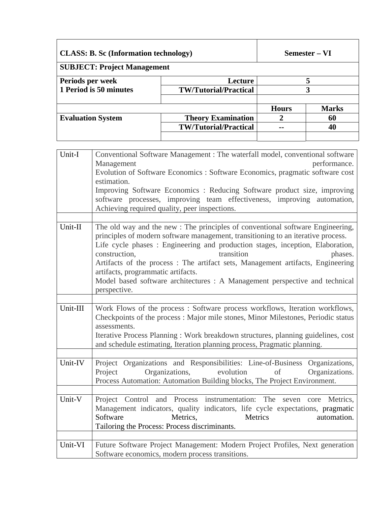| <b>CLASS: B. Sc (Information technology)</b><br><b>SUBJECT: Project Management</b> |                                                           | Semester – VI |                          |
|------------------------------------------------------------------------------------|-----------------------------------------------------------|---------------|--------------------------|
| Periods per week<br>1 Period is 50 minutes                                         | <b>Lecture</b><br><b>TW/Tutorial/Practical</b>            | 3             |                          |
| <b>Evaluation System</b>                                                           | <b>Theory Examination</b><br><b>TW/Tutorial/Practical</b> | <b>Hours</b>  | <b>Marks</b><br>60<br>40 |

| Unit-I   | Conventional Software Management : The waterfall model, conventional software                                                                                                     |  |  |  |  |
|----------|-----------------------------------------------------------------------------------------------------------------------------------------------------------------------------------|--|--|--|--|
|          | Management<br>performance.                                                                                                                                                        |  |  |  |  |
|          | Evolution of Software Economics : Software Economics, pragmatic software cost                                                                                                     |  |  |  |  |
|          | estimation.                                                                                                                                                                       |  |  |  |  |
|          | Improving Software Economics: Reducing Software product size, improving                                                                                                           |  |  |  |  |
|          | software processes, improving team effectiveness, improving automation,                                                                                                           |  |  |  |  |
|          | Achieving required quality, peer inspections.                                                                                                                                     |  |  |  |  |
|          |                                                                                                                                                                                   |  |  |  |  |
| Unit-II  | The old way and the new : The principles of conventional software Engineering,                                                                                                    |  |  |  |  |
|          | principles of modern software management, transitioning to an iterative process.                                                                                                  |  |  |  |  |
|          | Life cycle phases : Engineering and production stages, inception, Elaboration,                                                                                                    |  |  |  |  |
|          | construction,<br>transition<br>phases.                                                                                                                                            |  |  |  |  |
|          | Artifacts of the process: The artifact sets, Management artifacts, Engineering                                                                                                    |  |  |  |  |
|          | artifacts, programmatic artifacts.                                                                                                                                                |  |  |  |  |
|          | Model based software architectures : A Management perspective and technical                                                                                                       |  |  |  |  |
|          | perspective.                                                                                                                                                                      |  |  |  |  |
|          |                                                                                                                                                                                   |  |  |  |  |
| Unit-III | Work Flows of the process : Software process workflows, Iteration workflows,<br>Checkpoints of the process : Major mile stones, Minor Milestones, Periodic status<br>assessments. |  |  |  |  |
|          | and schedule estimating, Iteration planning process, Pragmatic planning.                                                                                                          |  |  |  |  |
|          | Iterative Process Planning: Work breakdown structures, planning guidelines, cost                                                                                                  |  |  |  |  |
|          |                                                                                                                                                                                   |  |  |  |  |
| Unit-IV  | Project Organizations and Responsibilities: Line-of-Business Organizations,<br>Organizations,<br>evolution<br>Project<br>of<br>Organizations.                                     |  |  |  |  |
|          | Process Automation: Automation Building blocks, The Project Environment.                                                                                                          |  |  |  |  |
| Unit-V   | Project Control and Process instrumentation: The seven core Metrics,                                                                                                              |  |  |  |  |
|          |                                                                                                                                                                                   |  |  |  |  |
|          | Management indicators, quality indicators, life cycle expectations, pragmatic<br>Software<br>Metrics,<br>Metrics<br>automation.                                                   |  |  |  |  |
|          |                                                                                                                                                                                   |  |  |  |  |
|          | Tailoring the Process: Process discriminants.                                                                                                                                     |  |  |  |  |
| Unit-VI  | Future Software Project Management: Modern Project Profiles, Next generation                                                                                                      |  |  |  |  |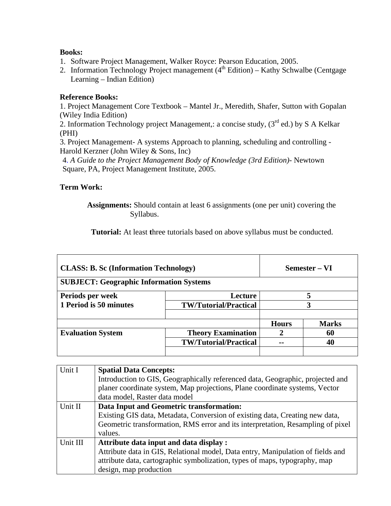- 1. Software Project Management, Walker Royce: Pearson Education, 2005.
- 2. Information Technology Project management  $(4<sup>th</sup> Edition) -$  Kathy Schwalbe (Centgage Learning – Indian Edition)

## **Reference Books:**

1. Project Management Core Textbook – Mantel Jr., Meredith, Shafer, Sutton with Gopalan (Wiley India Edition)

2. Information Technology project Management,: a concise study,  $(3<sup>rd</sup>$  ed.) by S A Kelkar (PHI)

3. Project Management- A systems Approach to planning, scheduling and controlling - Harold Kerzner (John Wiley & Sons, Inc)

4. *A Guide to the Project Management Body of Knowledge (3rd Edition)-* Newtown Square, PA, Project Management Institute, 2005.

## **Term Work:**

 **Assignments:** Should contain at least 6 assignments (one per unit) covering the Syllabus.

 **Tutorial:** At least **t**hree tutorials based on above syllabus must be conducted.

| <b>CLASS: B. Sc (Information Technology)</b>   |                              | Semester – VI |              |
|------------------------------------------------|------------------------------|---------------|--------------|
| <b>SUBJECT: Geographic Information Systems</b> |                              |               |              |
| Periods per week                               | Lecture                      |               |              |
| 1 Period is 50 minutes                         | <b>TW/Tutorial/Practical</b> | 3             |              |
|                                                |                              | <b>Hours</b>  | <b>Marks</b> |
| <b>Evaluation System</b>                       | <b>Theory Examination</b>    |               | 60           |
|                                                | <b>TW/Tutorial/Practical</b> |               | 40           |
|                                                |                              |               |              |

| Unit I   | <b>Spatial Data Concepts:</b>                                                   |
|----------|---------------------------------------------------------------------------------|
|          | Introduction to GIS, Geographically referenced data, Geographic, projected and  |
|          | planer coordinate system, Map projections, Plane coordinate systems, Vector     |
|          | data model, Raster data model                                                   |
| Unit II  | Data Input and Geometric transformation:                                        |
|          | Existing GIS data, Metadata, Conversion of existing data, Creating new data,    |
|          | Geometric transformation, RMS error and its interpretation, Resampling of pixel |
|          | values.                                                                         |
| Unit III | Attribute data input and data display :                                         |
|          | Attribute data in GIS, Relational model, Data entry, Manipulation of fields and |
|          | attribute data, cartographic symbolization, types of maps, typography, map      |
|          | design, map production                                                          |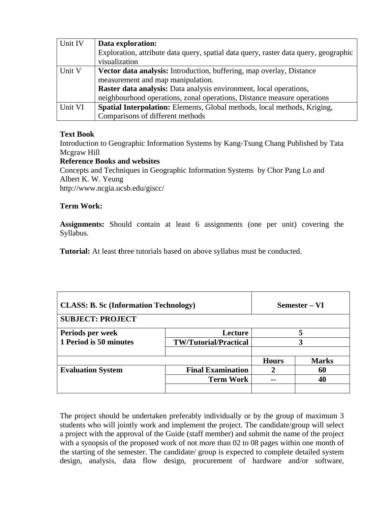| Unit IV | Data exploration:                                                                    |
|---------|--------------------------------------------------------------------------------------|
|         | Exploration, attribute data query, spatial data query, raster data query, geographic |
|         | visualization                                                                        |
| Unit V  | Vector data analysis: Introduction, buffering, map overlay, Distance                 |
|         | measurement and map manipulation.                                                    |
|         | Raster data analysis: Data analysis environment, local operations,                   |
|         | neighbourhood operations, zonal operations, Distance measure operations              |
| Unit VI | Spatial Interpolation: Elements, Global methods, local methods, Kriging,             |
|         | Comparisons of different methods                                                     |

## **Text Book**

Introduction to Geographic Information Systems by Kang-Tsung Chang Published by Tata Mcgraw Hill

#### **Reference Books and websites**

Concepts and Techniques in Geographic Information Systems by Chor Pang Lo and Albert K. W. Yeung http://www.ncgia.ucsb.edu/giscc/

#### **Term Work:**

**Assignments:** Should contain at least 6 assignments (one per unit) covering the Syllabus.

**Tutorial:** At least three tutorials based on above syllabus must be conducted.

| <b>CLASS: B. Sc (Information Technology)</b><br><b>SUBJECT: PROJECT</b> |                              |              | Semester – VI |
|-------------------------------------------------------------------------|------------------------------|--------------|---------------|
| Periods per week                                                        | Lecture                      |              |               |
| 1 Period is 50 minutes                                                  | <b>TW/Tutorial/Practical</b> | 3            |               |
|                                                                         |                              | <b>Hours</b> | <b>Marks</b>  |
| <b>Evaluation System</b>                                                | <b>Final Examination</b>     |              | 60            |
|                                                                         | <b>Term Work</b>             | --           | 40            |
|                                                                         |                              |              |               |

The project should be undertaken preferably individually or by the group of maximum 3 students who will jointly work and implement the project. The candidate/group will select a project with the approval of the Guide (staff member) and submit the name of the project with a synopsis of the proposed work of not more than 02 to 08 pages within one month of the starting of the semester. The candidate/ group is expected to complete detailed system design, analysis, data flow design, procurement of hardware and/or software,